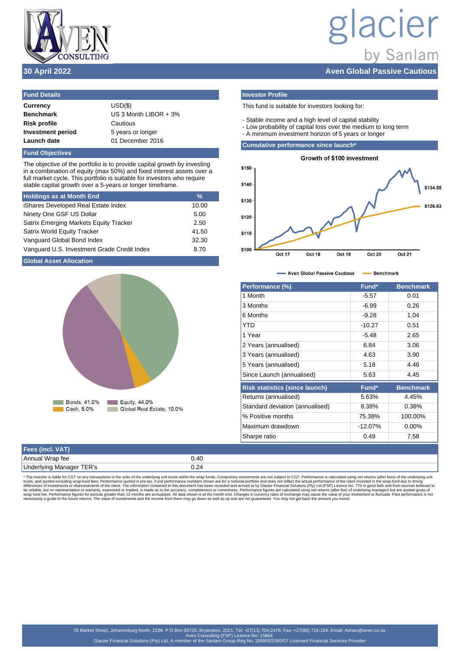

# lacier by Sanlam **30 April 2022 Aven Global Passive Cautious**

| $USD(\$)$               |
|-------------------------|
| US 3 Month LIBOR $+3\%$ |
| Cautious                |
| 5 years or longer       |
| 01 December 2016        |
|                         |

**Fund Objectives**

The objective of the portfolio is to provide capital growth by investing in a combination of equity (max 50%) and fixed interest assets over a full market cycle. This portfolio is suitable for investors who require stable capital growth over a 5-years or longer timeframe.

| <b>Holdings as at Month End</b>             | $\frac{9}{6}$ |
|---------------------------------------------|---------------|
| iShares Developed Real Estate Index         | 10.00         |
| Ninety One GSF US Dollar                    | 5.00          |
| Satrix Emerging Markets Equity Tracker      | 2.50          |
| <b>Satrix World Equity Tracker</b>          | 41.50         |
| Vanguard Global Bond Index                  | 32.30         |
| Vanguard U.S. Investment Grade Credit Index | 8.70          |

# **Global Asset Allocation**



# **Investor Profile**

This fund is suitable for investors looking for:

- Stable income and a high level of capital stability
- Low probability of capital loss over the medium to long term
- A minimum investment horizon of 5 years or longer

**Cumulative performance since launch\***



- Aven Global Passive Cautious - Benchmark ×

| Performance (%)                       | Fund*      | <b>Benchmark</b> |
|---------------------------------------|------------|------------------|
| 1 Month                               | $-5.57$    | 0.01             |
| 3 Months                              | $-6.99$    | 0.26             |
| 6 Months                              | $-9.28$    | 1.04             |
| YTD                                   | $-10.27$   | 0.51             |
| 1 Year                                | $-5.48$    | 2.65             |
| 2 Years (annualised)                  | 6.84       | 3.06             |
| 3 Years (annualised)                  | 4.63       | 3.90             |
| 5 Years (annualised)                  | 5.18       | 4.46             |
| Since Launch (annualised)             | 5.63       | 4.45             |
| <b>Risk statistics (since launch)</b> | Fund*      | <b>Benchmark</b> |
| Returns (annualised)                  | 5.63%      | 4.45%            |
| Standard deviation (annualised)       | 8.38%      | 0.38%            |
| % Positive months                     | 75.38%     | 100.00%          |
| Maximum drawdown                      | $-12.07\%$ | $0.00\%$         |
| Sharpe ratio                          | 0.49       | 7.58             |

| Fees (incl. VAT)         |      |
|--------------------------|------|
| Annual Wrap fee          | 0.40 |
| Underlying Manager TER's | J.Z~ |

\* The investor is liable for CGT on any transactions in the units of the underlying unit trusts within the wrap funds. Compulsory investments are not subject to CGT. Performance is calculated using net returns (after fees)